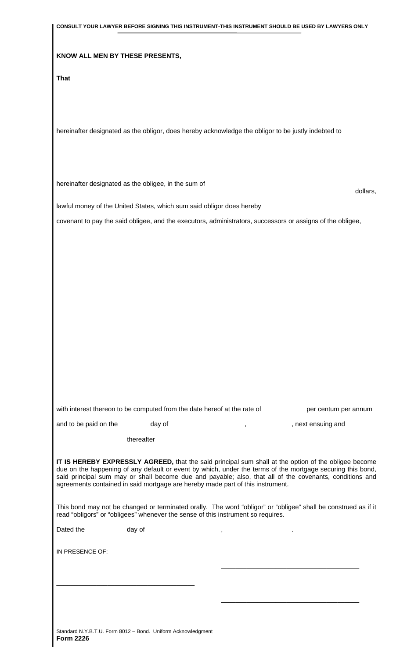|                                                      |            |                                                                                                     | CONSULT YOUR LAWYER BEFORE SIGNING THIS INSTRUMENT-THIS INSTRUMENT SHOULD BE USED BY LAWYERS ONLY                                                                                                                                                                                                                             |
|------------------------------------------------------|------------|-----------------------------------------------------------------------------------------------------|-------------------------------------------------------------------------------------------------------------------------------------------------------------------------------------------------------------------------------------------------------------------------------------------------------------------------------|
| KNOW ALL MEN BY THESE PRESENTS,                      |            |                                                                                                     |                                                                                                                                                                                                                                                                                                                               |
|                                                      |            |                                                                                                     |                                                                                                                                                                                                                                                                                                                               |
| <b>That</b>                                          |            |                                                                                                     |                                                                                                                                                                                                                                                                                                                               |
|                                                      |            |                                                                                                     |                                                                                                                                                                                                                                                                                                                               |
|                                                      |            |                                                                                                     |                                                                                                                                                                                                                                                                                                                               |
|                                                      |            |                                                                                                     |                                                                                                                                                                                                                                                                                                                               |
|                                                      |            | hereinafter designated as the obligor, does hereby acknowledge the obligor to be justly indebted to |                                                                                                                                                                                                                                                                                                                               |
|                                                      |            |                                                                                                     |                                                                                                                                                                                                                                                                                                                               |
|                                                      |            |                                                                                                     |                                                                                                                                                                                                                                                                                                                               |
| hereinafter designated as the obligee, in the sum of |            |                                                                                                     |                                                                                                                                                                                                                                                                                                                               |
|                                                      |            |                                                                                                     | dollars,                                                                                                                                                                                                                                                                                                                      |
|                                                      |            | lawful money of the United States, which sum said obligor does hereby                               |                                                                                                                                                                                                                                                                                                                               |
|                                                      |            |                                                                                                     | covenant to pay the said obligee, and the executors, administrators, successors or assigns of the obligee,                                                                                                                                                                                                                    |
|                                                      |            |                                                                                                     |                                                                                                                                                                                                                                                                                                                               |
|                                                      |            |                                                                                                     |                                                                                                                                                                                                                                                                                                                               |
|                                                      |            |                                                                                                     |                                                                                                                                                                                                                                                                                                                               |
|                                                      |            |                                                                                                     |                                                                                                                                                                                                                                                                                                                               |
|                                                      |            |                                                                                                     |                                                                                                                                                                                                                                                                                                                               |
|                                                      |            |                                                                                                     |                                                                                                                                                                                                                                                                                                                               |
|                                                      |            |                                                                                                     |                                                                                                                                                                                                                                                                                                                               |
|                                                      |            |                                                                                                     |                                                                                                                                                                                                                                                                                                                               |
|                                                      |            |                                                                                                     |                                                                                                                                                                                                                                                                                                                               |
|                                                      |            |                                                                                                     |                                                                                                                                                                                                                                                                                                                               |
|                                                      |            |                                                                                                     |                                                                                                                                                                                                                                                                                                                               |
|                                                      |            |                                                                                                     |                                                                                                                                                                                                                                                                                                                               |
|                                                      |            |                                                                                                     |                                                                                                                                                                                                                                                                                                                               |
|                                                      |            | with interest thereon to be computed from the date hereof at the rate of                            | per centum per annum                                                                                                                                                                                                                                                                                                          |
| and to be paid on the                                | day of     | $\mathbf{r}$                                                                                        | , next ensuing and                                                                                                                                                                                                                                                                                                            |
|                                                      | thereafter |                                                                                                     |                                                                                                                                                                                                                                                                                                                               |
|                                                      |            | agreements contained in said mortgage are hereby made part of this instrument.                      | IT IS HEREBY EXPRESSLY AGREED, that the said principal sum shall at the option of the obligee become<br>due on the happening of any default or event by which, under the terms of the mortgage securing this bond,<br>said principal sum may or shall become due and payable; also, that all of the covenants, conditions and |
|                                                      |            | read "obligors" or "obligees" whenever the sense of this instrument so requires.                    | This bond may not be changed or terminated orally. The word "obligor" or "obligee" shall be construed as if it                                                                                                                                                                                                                |
| Dated the                                            | day of     | $\,$                                                                                                |                                                                                                                                                                                                                                                                                                                               |
|                                                      |            |                                                                                                     |                                                                                                                                                                                                                                                                                                                               |
| IN PRESENCE OF:                                      |            |                                                                                                     |                                                                                                                                                                                                                                                                                                                               |
|                                                      |            |                                                                                                     |                                                                                                                                                                                                                                                                                                                               |
|                                                      |            |                                                                                                     |                                                                                                                                                                                                                                                                                                                               |
|                                                      |            |                                                                                                     |                                                                                                                                                                                                                                                                                                                               |
|                                                      |            |                                                                                                     |                                                                                                                                                                                                                                                                                                                               |
|                                                      |            |                                                                                                     |                                                                                                                                                                                                                                                                                                                               |